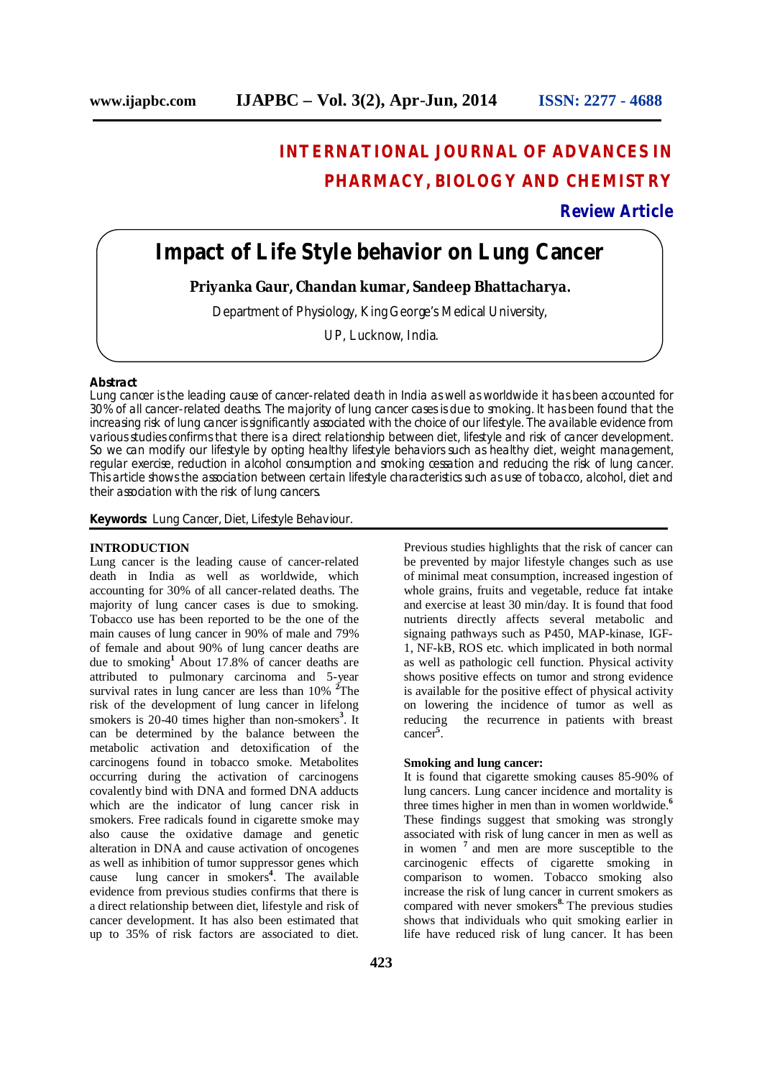# **INTERNATIONAL JOURNAL OF ADVANCES IN PHARMACY, BIOLOGY AND CHEMISTRY**

**Review Article**

# **Impact of Life Style behavior on Lung Cancer**

**Priyanka Gaur, Chandan kumar, Sandeep Bhattacharya.**

Department of Physiology, King George's Medical University,

UP, Lucknow, India.

#### **Abstract**

Lung cancer is the leading cause of cancer-related death in India as well as worldwide it has been accounted for 30% of all cancer-related deaths. The majority of lung cancer cases is due to smoking. It has been found that the increasing risk of lung cancer is significantly associated with the choice of our lifestyle. The available evidence from various studies confirms that there is a direct relationship between diet, lifestyle and risk of cancer development. So we can modify our lifestyle by opting healthy lifestyle behaviors such as healthy diet, weight management, regular exercise, reduction in alcohol consumption and smoking cessation and reducing the risk of lung cancer. This article shows the association between certain lifestyle characteristics such as use of tobacco, alcohol, diet and their association with the risk of lung cancers.

**Keywords:** Lung Cancer, Diet, Lifestyle Behaviour.

# **INTRODUCTION**

Lung cancer is the leading cause of cancer-related death in India as well as worldwide, which accounting for 30% of all cancer-related deaths. The majority of lung cancer cases is due to smoking. Tobacco use has been reported to be the one of the main causes of lung cancer in 90% of male and 79% of female and about 90% of lung cancer deaths are due to smoking**<sup>1</sup>** About 17.8% of cancer deaths are attributed to pulmonary carcinoma and 5-year survival rates in lung cancer are less than 10% **<sup>2</sup>**The risk of the development of lung cancer in lifelong smokers is 20-40 times higher than non-smokers<sup>3</sup>. It can be determined by the balance between the metabolic activation and detoxification of the carcinogens found in tobacco smoke. Metabolites occurring during the activation of carcinogens covalently bind with DNA and formed DNA adducts which are the indicator of lung cancer risk in smokers. Free radicals found in cigarette smoke may also cause the oxidative damage and genetic alteration in DNA and cause activation of oncogenes as well as inhibition of tumor suppressor genes which cause lung cancer in smokers**<sup>4</sup>** . The available evidence from previous studies confirms that there is a direct relationship between diet, lifestyle and risk of cancer development. It has also been estimated that up to 35% of risk factors are associated to diet.

Previous studies highlights that the risk of cancer can be prevented by major lifestyle changes such as use of minimal meat consumption, increased ingestion of whole grains, fruits and vegetable, reduce fat intake and exercise at least 30 min/day. It is found that food nutrients directly affects several metabolic and signaing pathways such as P450, MAP-kinase, IGF-1, NF-kB, ROS etc. which implicated in both normal as well as pathologic cell function. Physical activity shows positive effects on tumor and strong evidence is available for the positive effect of physical activity on lowering the incidence of tumor as well as reducing the recurrence in patients with breast cancer**<sup>5</sup>** .

# **Smoking and lung cancer:**

It is found that cigarette smoking causes 85-90% of lung cancers. Lung cancer incidence and mortality is three times higher in men than in women worldwide. **6** These findings suggest that smoking was strongly associated with risk of lung cancer in men as well as in women **<sup>7</sup>** and men are more susceptible to the carcinogenic effects of cigarette smoking in comparison to women. Tobacco smoking also increase the risk of lung cancer in current smokers as compared with never smokers**8.** The previous studies shows that individuals who quit smoking earlier in life have reduced risk of lung cancer. It has been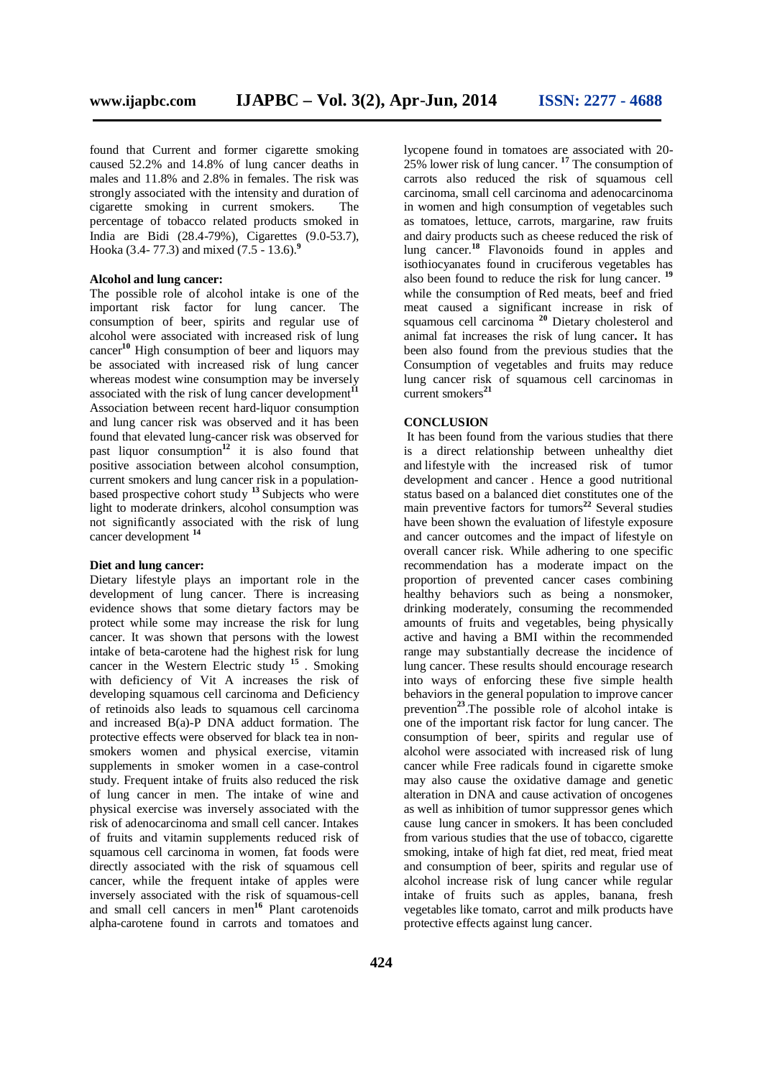found that Current and former cigarette smoking caused 52.2% and 14.8% of lung cancer deaths in males and 11.8% and 2.8% in females. The risk was strongly associated with the intensity and duration of cigarette smoking in current smokers. The percentage of tobacco related products smoked in India are Bidi (28.4-79%), Cigarettes (9.0-53.7), Hooka (3.4- 77.3) and mixed (7.5 - 13.6).**<sup>9</sup>**

## **Alcohol and lung cancer:**

The possible role of alcohol intake is one of the important risk factor for lung cancer. The consumption of beer, spirits and regular use of alcohol were associated with increased risk of lung cancer**<sup>10</sup>** High consumption of beer and liquors may be associated with increased risk of lung cancer whereas modest wine consumption may be inversely associated with the risk of lung cancer development<sup>11</sup> Association between recent hard-liquor consumption and lung cancer risk was observed and it has been found that elevated lung-cancer risk was observed for past liquor consumption**<sup>12</sup>** it is also found that positive association between alcohol consumption, current smokers and lung cancer risk in a populationbased prospective cohort study **<sup>13</sup>** Subjects who were light to moderate drinkers, alcohol consumption was not significantly associated with the risk of lung cancer development **<sup>14</sup>**

## **Diet and lung cancer:**

Dietary lifestyle plays an important role in the development of lung cancer. There is increasing evidence shows that some dietary factors may be protect while some may increase the risk for lung cancer. It was shown that persons with the lowest intake of beta-carotene had the highest risk for lung cancer in the Western Electric study **<sup>15</sup>** . Smoking with deficiency of Vit A increases the risk of developing squamous cell carcinoma and Deficiency of retinoids also leads to squamous cell carcinoma and increased B(a)-P DNA adduct formation. The protective effects were observed for black tea in nonsmokers women and physical exercise, vitamin supplements in smoker women in a case-control study. Frequent intake of fruits also reduced the risk of lung cancer in men. The intake of wine and physical exercise was inversely associated with the risk of adenocarcinoma and small cell cancer. Intakes of fruits and vitamin supplements reduced risk of squamous cell carcinoma in women, fat foods were directly associated with the risk of squamous cell cancer, while the frequent intake of apples were inversely associated with the risk of squamous-cell and small cell cancers in men**<sup>16</sup>** Plant carotenoids alpha-carotene found in carrots and tomatoes and

lycopene found in tomatoes are associated with 20- 25% lower risk of lung cancer. **<sup>17</sup>** The consumption of carrots also reduced the risk of squamous cell carcinoma, small cell carcinoma and adenocarcinoma in women and high consumption of vegetables such as tomatoes, lettuce, carrots, margarine, raw fruits and dairy products such as cheese reduced the risk of lung cancer.**<sup>18</sup>** Flavonoids found in apples and isothiocyanates found in cruciferous vegetables has also been found to reduce the risk for lung cancer. **19** while the consumption of Red meats, beef and fried meat caused a significant increase in risk of squamous cell carcinoma **<sup>20</sup>** Dietary cholesterol and animal fat increases the risk of lung cancer**.** It has been also found from the previous studies that the Consumption of vegetables and fruits may reduce lung cancer risk of squamous cell carcinomas in current smokers<sup>21</sup>

## **CONCLUSION**

It has been found from the various studies that there is a direct relationship between unhealthy diet and lifestyle with the increased risk of tumor development and cancer . Hence a good nutritional status based on a balanced diet constitutes one of the main preventive factors for tumors**<sup>22</sup>** Several studies have been shown the evaluation of lifestyle exposure and cancer outcomes and the impact of lifestyle on overall cancer risk. While adhering to one specific recommendation has a moderate impact on the proportion of prevented cancer cases combining healthy behaviors such as being a nonsmoker, drinking moderately, consuming the recommended amounts of fruits and vegetables, being physically active and having a BMI within the recommended range may substantially decrease the incidence of lung cancer. These results should encourage research into ways of enforcing these five simple health behaviors in the general population to improve cancer prevention**<sup>23</sup>** .The possible role of alcohol intake is one of the important risk factor for lung cancer. The consumption of beer, spirits and regular use of alcohol were associated with increased risk of lung cancer while Free radicals found in cigarette smoke may also cause the oxidative damage and genetic alteration in DNA and cause activation of oncogenes as well as inhibition of tumor suppressor genes which cause lung cancer in smokers. It has been concluded from various studies that the use of tobacco, cigarette smoking, intake of high fat diet, red meat, fried meat and consumption of beer, spirits and regular use of alcohol increase risk of lung cancer while regular intake of fruits such as apples, banana, fresh vegetables like tomato, carrot and milk products have protective effects against lung cancer.